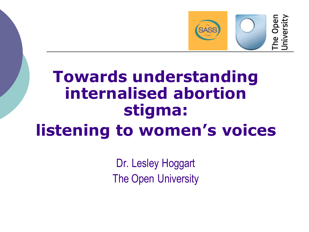

## **Towards understanding internalised abortion stigma: listening to women's voices**

Dr. Lesley Hoggart The Open University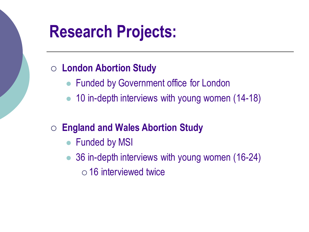# **Research Projects:**

#### ○ London Abortion Study

- **Funded by Government office for London**
- 10 in-depth interviews with young women (14-18)

#### ¡ **England and Wales Abortion Study**

- **Funded by MSI**
- 36 in-depth interviews with young women (16-24)  $\circ$  16 interviewed twice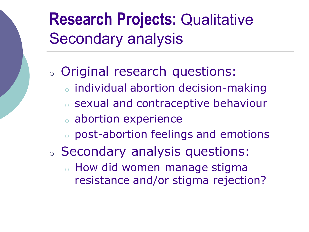**Research Projects:** Qualitative Secondary analysis

- <sup>o</sup> Original research questions:
	- individual abortion decision-making
	- o sexual and contraceptive behaviour
	- o abortion experience
	- post-abortion feelings and emotions
- <sup>o</sup> Secondary analysis questions:
	- o How did women manage stigma resistance and/or stigma rejection?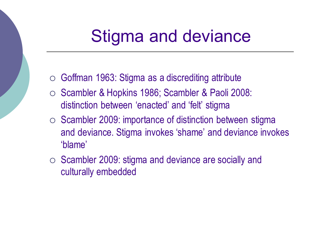## Stigma and deviance

- $\circ$  Goffman 1963: Stigma as a discrediting attribute
- Scambler & Hopkins 1986; Scambler & Paoli 2008: distinction between 'enacted' and 'felt' stigma
- $\circ$  Scambler 2009: importance of distinction between stigma and deviance. Stigma invokes 'shame' and deviance invokes 'blame'
- $\circ$  Scambler 2009: stigma and deviance are socially and culturally embedded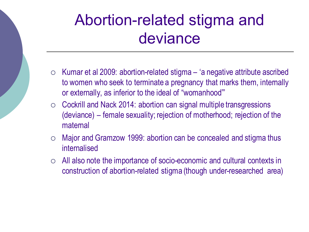#### Abortion-related stigma and deviance

- $\circ$  Kumar et al 2009: abortion-related stigma 'a negative attribute ascribed to women who seek to terminate a pregnancy that marks them, internally or externally, as inferior to the ideal of "womanhood"'
- $\circ$  Cockrill and Nack 2014: abortion can signal multiple transgressions (deviance) – female sexuality; rejection of motherhood; rejection of the maternal
- $\circ$  Major and Gramzow 1999: abortion can be concealed and stigma thus internalised
- $\circ$  All also note the importance of socio-economic and cultural contexts in construction of abortion-related stigma (though under-researched area)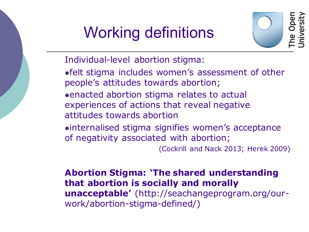# Working definitions



Individual-level abortion stigma:

. felt stigma includes women's assessment of other people's attitudes towards abortion;

<sup>l</sup>enacted abortion stigma relates to actual experiences of actions that reveal negative attitudes towards abortion

**• internalised stigma signifies women's acceptance** of negativity associated with abortion;

(Cockrill and Nack 2013; Herek 2009)

**Abortion Stigma: 'The shared understanding that abortion is socially and morally unacceptable'** (http://seachangeprogram.org/ourwork/abortion-stigma-defined/)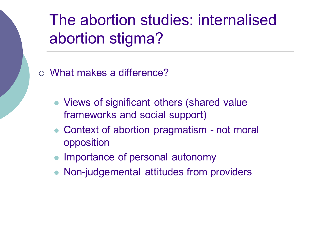The abortion studies: internalised abortion stigma?

 $\circ$  What makes a difference?

- Views of significant others (shared value frameworks and social support)
- Context of abortion pragmatism not moral opposition
- Importance of personal autonomy
- Non-judgemental attitudes from providers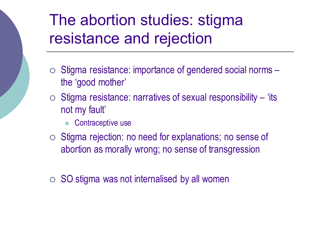## The abortion studies: stigma resistance and rejection

- $\circ$  Stigma resistance: importance of gendered social norms  $$ the 'good mother'
- $\circ$  Stigma resistance: narratives of sexual responsibility 'its not my fault'
	- Contraceptive use
- $\circ$  Stigma rejection: no need for explanations; no sense of abortion as morally wrong; no sense of transgression
- $\circ$  SO stigma was not internalised by all women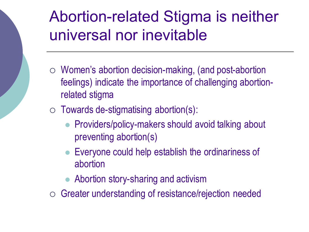#### Abortion-related Stigma is neither universal nor inevitable

- $\circ$  Women's abortion decision-making, (and post-abortion feelings) indicate the importance of challenging abortionrelated stigma
- $\circ$  Towards de-stigmatising abortion(s):
	- Providers/policy-makers should avoid talking about preventing abortion(s)
	- Everyone could help establish the ordinariness of abortion
	- Abortion story-sharing and activism
- $\circ$  Greater understanding of resistance/rejection needed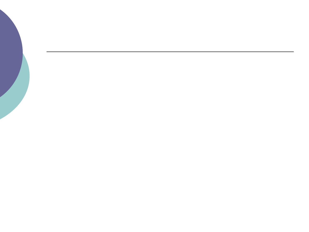